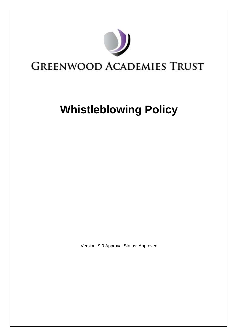

## **GREENWOOD ACADEMIES TRUST**

# **Whistleblowing Policy**

Version: 9.0 Approval Status: Approved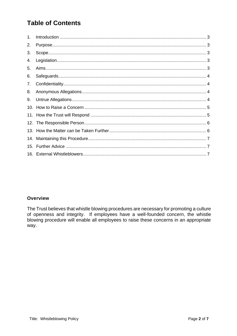### **Table of Contents**

| 1. |  |
|----|--|
| 2. |  |
| 3. |  |
| 4. |  |
| 5. |  |
| 6. |  |
| 7. |  |
| 8. |  |
| 9. |  |
|    |  |
|    |  |
|    |  |
|    |  |
|    |  |
|    |  |
|    |  |

#### **Overview**

The Trust believes that whistle blowing procedures are necessary for promoting a culture of openness and integrity. If employees have a well-founded concern, the whistle blowing procedure will enable all employees to raise these concerns in an appropriate way.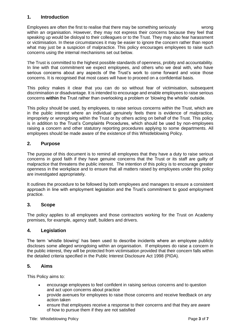#### <span id="page-2-0"></span>**1. Introduction**

Employees are often the first to realise that there may be something seriously wrong within an organisation. However, they may not express their concerns because they feel that speaking up would be disloyal to their colleagues or to the Trust. They may also fear harassment or victimisation. In these circumstances it may be easier to ignore the concern rather than report what may just be a suspicion of malpractice. This policy encourages employees to raise such concerns using the internal mechanisms set out below.

The Trust is committed to the highest possible standards of openness, probity and accountability. In line with that commitment we expect employees, and others who we deal with, who have serious concerns about any aspects of the Trust's work to come forward and voice those concerns. It is recognised that most cases will have to proceed on a confidential basis.

This policy makes it clear that you can do so without fear of victimisation, subsequent discrimination or disadvantage. It is intended to encourage and enable employees to raise serious concerns **within** the Trust rather than overlooking a problem or 'blowing the whistle' outside.

This policy should be used, by employees, to raise serious concerns within the Trust, which are in the public interest where an individual genuinely feels there is evidence of malpractice, impropriety or wrongdoing within the Trust or by others acting on behalf of the Trust. This policy is in addition to the Trust's Complaints Procedures, which should be used by non-employees raising a concern and other statutory reporting procedures applying to some departments. All employees should be made aware of the existence of this Whistleblowing Policy.

#### <span id="page-2-1"></span>**2. Purpose**

The purpose of this document is to remind all employees that they have a duty to raise serious concerns in good faith if they have genuine concerns that the Trust or its staff are guilty of malpractice that threatens the public interest. The intention of this policy is to encourage greater openness in the workplace and to ensure that all matters raised by employees under this policy are investigated appropriately.

It outlines the procedure to be followed by both employees and managers to ensure a consistent approach in line with employment legislation and the Trust's commitment to good employment practice.

#### <span id="page-2-2"></span>**3. Scope**

The policy applies to all employees and those contractors working for the Trust on Academy premises, for example, agency staff, builders and drivers.

#### <span id="page-2-3"></span>**4. Legislation**

The term 'whistle blowing' has been used to describe incidents where an employee publicly discloses some alleged wrongdoing within an organisation. If employees do raise a concern in the public interest, they will be protected from victimisation provided that their concern falls within the detailed criteria specified in the Public Interest Disclosure Act 1998 (PIDA).

#### <span id="page-2-4"></span>**5. Aims**

This Policy aims to:

- encourage employees to feel confident in raising serious concerns and to question and act upon concerns about practice
- provide avenues for employees to raise those concerns and receive feedback on any action taken
- ensure that employees receive a response to their concerns and that they are aware of how to pursue them if they are not satisfied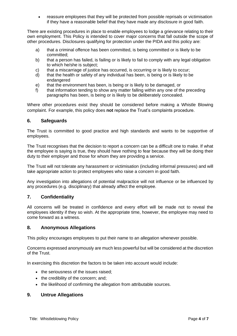• reassure employees that they will be protected from possible reprisals or victimisation if they have a reasonable belief that they have made any disclosure in good faith.

There are existing procedures in place to enable employees to lodge a grievance relating to their own employment. This Policy is intended to cover major concerns that fall outside the scope of other procedures. Disclosures qualifying for protection under the PIDA and this policy are:

- a) that a criminal offence has been committed, is being committed or is likely to be committed;
- b) that a person has failed, is failing or is likely to fail to comply with any legal obligation to which he/she is subject;
- c) that a miscarriage of justice has occurred, is occurring or is likely to occur;
- d) that the health or safety of any individual has been, is being or is likely to be endangered
- e) that the environment has been, is being or is likely to be damaged, or
- f) that information tending to show any matter falling within any one of the preceding paragraphs has been, is being or is likely to be deliberately concealed.

Where other procedures exist they should be considered before making a Whistle Blowing complaint. For example, this policy does **not** replace the Trust's complaints procedure.

#### <span id="page-3-0"></span>**6. Safeguards**

The Trust is committed to good practice and high standards and wants to be supportive of employees.

The Trust recognises that the decision to report a concern can be a difficult one to make. If what the employee is saying is true, they should have nothing to fear because they will be doing their duty to their employer and those for whom they are providing a service.

The Trust will not tolerate any harassment or victimisation (including informal pressures) and will take appropriate action to protect employees who raise a concern in good faith.

Any investigation into allegations of potential malpractice will not influence or be influenced by any procedures (e.g. disciplinary) that already affect the employee.

#### <span id="page-3-1"></span>**7. Confidentiality**

All concerns will be treated in confidence and every effort will be made not to reveal the employees identity if they so wish. At the appropriate time, however, the employee may need to come forward as a witness.

#### <span id="page-3-2"></span>**8. Anonymous Allegations**

This policy encourages employees to put their name to an allegation whenever possible.

Concerns expressed anonymously are much less powerful but will be considered at the discretion of the Trust.

In exercising this discretion the factors to be taken into account would include:

- the seriousness of the issues raised;
- the credibility of the concern; and;
- <span id="page-3-3"></span>• the likelihood of confirming the allegation from attributable sources.

#### **9. Untrue Allegations**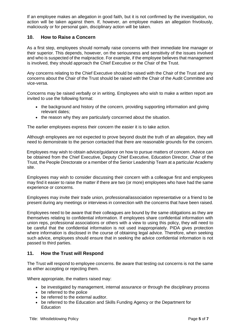If an employee makes an allegation in good faith, but it is not confirmed by the investigation, no action will be taken against them. If, however, an employee makes an allegation frivolously, maliciously or for personal gain, disciplinary action will be taken.

#### <span id="page-4-0"></span>**10. How to Raise a Concern**

As a first step, employees should normally raise concerns with their immediate line manager or their superior. This depends, however, on the seriousness and sensitivity of the issues involved and who is suspected of the malpractice. For example, if the employee believes that management is involved, they should approach the Chief Executive or the Chair of the Trust.

Any concerns relating to the Chief Executive should be raised with the Chair of the Trust and any concerns about the Chair of the Trust should be raised with the Chair of the Audit Committee and vice-versa.

Concerns may be raised verbally or in writing. Employees who wish to make a written report are invited to use the following format:

- the background and history of the concern, providing supporting information and giving relevant dates;
- the reason why they are particularly concerned about the situation.

The earlier employees express their concern the easier it is to take action.

Although employees are not expected to prove beyond doubt the truth of an allegation, they will need to demonstrate to the person contacted that there are reasonable grounds for the concern.

Employees may wish to obtain advice/guidance on how to pursue matters of concern. Advice can be obtained from the Chief Executive, Deputy Chief Executive, Education Director, Chair of the Trust, the People Directorate or a member of the Senior Leadership Team at a particular Academy site.

Employees may wish to consider discussing their concern with a colleague first and employees may find it easier to raise the matter if there are two (or more) employees who have had the same experience or concerns.

Employees may invite their trade union, professional/association representative or a friend to be present during any meetings or interviews in connection with the concerns that have been raised.

Employees need to be aware that their colleagues are bound by the same obligations as they are themselves relating to confidential information. If employees share confidential information with union reps, professional associations or others with a view to using this policy, they will need to be careful that the confidential information is not used inappropriately. PIDA gives protection where information is disclosed in the course of obtaining legal advice. Therefore, when seeking such advice, employees should ensure that in seeking the advice confidential information is not passed to third parties.

#### <span id="page-4-1"></span>**11. How the Trust will Respond**

The Trust will respond to employee concerns. Be aware that testing out concerns is not the same as either accepting or rejecting them.

Where appropriate, the matters raised may:

- be investigated by management, internal assurance or through the disciplinary process
- be referred to the police
- be referred to the external auditor.
- be referred to the Education and Skills Funding Agency or the Department for **Education**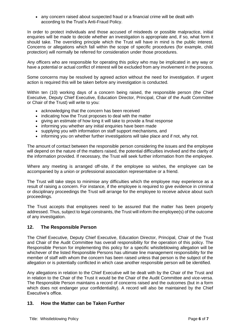• any concern raised about suspected fraud or a financial crime will be dealt with according to the Trust's Anti-Fraud Policy.

In order to protect individuals and those accused of misdeeds or possible malpractice, initial enquiries will be made to decide whether an investigation is appropriate and, if so, what form it should take. The overriding principle which the Trust will have in mind is the public interest. Concerns or allegations which fall within the scope of specific procedures (for example, child protection) will normally be referred for consideration under those procedures.

Any officers who are responsible for operating this policy who may be implicated in any way or have a potential or actual conflict of interest will be excluded from any involvement in the process.

Some concerns may be resolved by agreed action without the need for investigation. If urgent action is required this will be taken before any investigation is conducted.

Within ten (10) working days of a concern being raised, the responsible person (the Chief Executive, Deputy Chief Executive, Education Director, Principal, Chair of the Audit Committee or Chair of the Trust) will write to you:

- acknowledging that the concern has been received
- indicating how the Trust proposes to deal with the matter
- giving an estimate of how long it will take to provide a final response
- informing you whether any initial enquiries have been made
- supplying you with information on staff support mechanisms, and
- informing you on whether further investigations will take place and if not, why not.

The amount of contact between the responsible person considering the issues and the employee will depend on the nature of the matters raised, the potential difficulties involved and the clarity of the information provided. If necessary, the Trust will seek further information from the employee.

Where any meeting is arranged off-site, if the employee so wishes, the employee can be accompanied by a union or professional association representative or a friend.

The Trust will take steps to minimise any difficulties which the employee may experience as a result of raising a concern. For instance, if the employee is required to give evidence in criminal or disciplinary proceedings the Trust will arrange for the employee to receive advice about such proceedings.

The Trust accepts that employees need to be assured that the matter has been properly addressed. Thus, subject to legal constraints, the Trust will inform the employee(s) of the outcome of any investigation.

#### <span id="page-5-0"></span>**12. The Responsible Person**

The Chief Executive, Deputy Chief Executive, Education Director, Principal, Chair of the Trust and Chair of the Audit Committee has overall responsibility for the operation of this policy. The Responsible Person for implementing this policy for a specific whistleblowing allegation will be whichever of the listed Responsible Persons has ultimate line management responsibility for the member of staff with whom the concern has been raised unless that person is the subject of the allegation or is potentially conflicted in which case another responsible person will be identified.

Any allegations in relation to the Chief Executive will be dealt with by the Chair of the Trust and in relation to the Chair of the Trust it would be the Chair of the Audit Committee and vice-versa. The Responsible Person maintains a record of concerns raised and the outcomes (but in a form which does not endanger your confidentiality). A record will also be maintained by the Chief Executive's office.

#### <span id="page-5-1"></span>**13. How the Matter can be Taken Further**